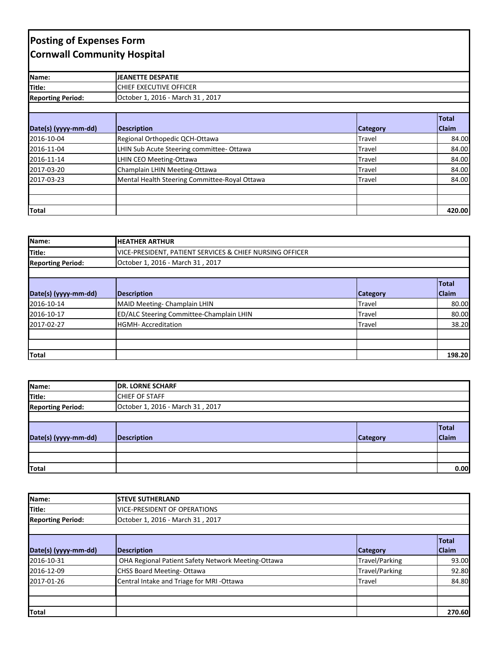## **Posting of Expenses Form Cornwall Community Hospital**

| Name:                    | JEANETTE DESPATIE                             |                 |              |
|--------------------------|-----------------------------------------------|-----------------|--------------|
| Title:                   | CHIEF EXECUTIVE OFFICER                       |                 |              |
| <b>Reporting Period:</b> | October 1, 2016 - March 31, 2017              |                 |              |
|                          |                                               |                 |              |
|                          |                                               |                 | <b>Total</b> |
| Date(s) (yyyy-mm-dd)     | <b>Description</b>                            | <b>Category</b> | <b>Claim</b> |
| 2016-10-04               | Regional Orthopedic QCH-Ottawa                | Travel          | 84.00        |
| 2016-11-04               | LHIN Sub Acute Steering committee- Ottawa     | Travel          | 84.00        |
| 2016-11-14               | LHIN CEO Meeting-Ottawa                       | Travel          | 84.00        |
| 2017-03-20               | Champlain LHIN Meeting-Ottawa                 | Travel          | 84.00        |
| 2017-03-23               | Mental Health Steering Committee-Royal Ottawa | Travel          | 84.00        |
|                          |                                               |                 |              |
|                          |                                               |                 |              |
| Total                    |                                               |                 | 420.00       |

| Name:                    | <b>HEATHER ARTHUR</b>                                    |                 |              |
|--------------------------|----------------------------------------------------------|-----------------|--------------|
| Title:                   | VICE-PRESIDENT, PATIENT SERVICES & CHIEF NURSING OFFICER |                 |              |
| <b>Reporting Period:</b> | October 1, 2016 - March 31, 2017                         |                 |              |
|                          |                                                          |                 |              |
|                          |                                                          |                 | <b>Total</b> |
| Date(s) (yyyy-mm-dd)     | Description                                              | <b>Category</b> | <b>Claim</b> |
| 2016-10-14               | MAID Meeting- Champlain LHIN                             | Travel          | 80.00        |
| 2016-10-17               | ED/ALC Steering Committee-Champlain LHIN                 | Travel          | 80.00        |
| 2017-02-27               | <b>HGMH-Accreditation</b>                                | Travel          | 38.20        |
|                          |                                                          |                 |              |
|                          |                                                          |                 |              |
| Total                    |                                                          |                 | 198.20       |

| Name:                    | <b>DR. LORNE SCHARF</b>          |                 |              |
|--------------------------|----------------------------------|-----------------|--------------|
| Title:                   | <b>CHIEF OF STAFF</b>            |                 |              |
| <b>Reporting Period:</b> | October 1, 2016 - March 31, 2017 |                 |              |
|                          |                                  |                 |              |
|                          |                                  |                 | Total        |
| Date(s) (yyyy-mm-dd)     | Description                      | <b>Category</b> | <b>Claim</b> |
|                          |                                  |                 |              |
|                          |                                  |                 |              |
| <b>Total</b>             |                                  |                 | 0.00         |

| Name:                    | <b>ISTEVE SUTHERLAND</b>                           |                 |              |
|--------------------------|----------------------------------------------------|-----------------|--------------|
| Title:                   | <b>VICE-PRESIDENT OF OPERATIONS</b>                |                 |              |
| <b>Reporting Period:</b> | October 1, 2016 - March 31, 2017                   |                 |              |
|                          |                                                    |                 |              |
|                          |                                                    |                 | <b>Total</b> |
| Date(s) (yyyy-mm-dd)     | Description                                        | <b>Category</b> | <b>Claim</b> |
| 2016-10-31               | OHA Regional Patient Safety Network Meeting-Ottawa | Travel/Parking  | 93.00        |
| 2016-12-09               | CHSS Board Meeting-Ottawa                          | Travel/Parking  | 92.80        |
| 2017-01-26               | Central Intake and Triage for MRI-Ottawa           | Travel          | 84.80        |
|                          |                                                    |                 |              |
|                          |                                                    |                 |              |
| Total                    |                                                    |                 | 270.60       |